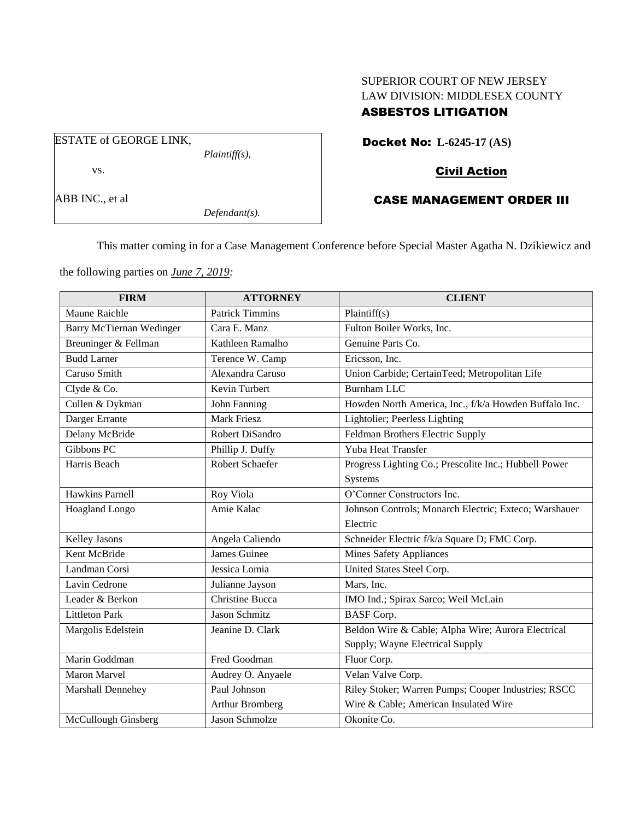# SUPERIOR COURT OF NEW JERSEY LAW DIVISION: MIDDLESEX COUNTY ASBESTOS LITIGATION

Docket No: **L-6245-17 (AS)**

# Civil Action

## CASE MANAGEMENT ORDER III

This matter coming in for a Case Management Conference before Special Master Agatha N. Dzikiewicz and

the following parties on *June 7, 2019:*

| <b>FIRM</b>              | <b>ATTORNEY</b>        | <b>CLIENT</b>                                         |
|--------------------------|------------------------|-------------------------------------------------------|
| <b>Maune Raichle</b>     | <b>Patrick Timmins</b> | Plaintiff(s)                                          |
| Barry McTiernan Wedinger | Cara E. Manz           | Fulton Boiler Works, Inc.                             |
| Breuninger & Fellman     | Kathleen Ramalho       | Genuine Parts Co.                                     |
| <b>Budd Larner</b>       | Terence W. Camp        | Ericsson, Inc.                                        |
| Caruso Smith             | Alexandra Caruso       | Union Carbide; CertainTeed; Metropolitan Life         |
| Clyde & Co.              | Kevin Turbert          | <b>Burnham LLC</b>                                    |
| Cullen & Dykman          | John Fanning           | Howden North America, Inc., f/k/a Howden Buffalo Inc. |
| Darger Errante           | <b>Mark Friesz</b>     | Lightolier; Peerless Lighting                         |
| Delany McBride           | Robert DiSandro        | Feldman Brothers Electric Supply                      |
| Gibbons PC               | Phillip J. Duffy       | Yuba Heat Transfer                                    |
| Harris Beach             | Robert Schaefer        | Progress Lighting Co.; Prescolite Inc.; Hubbell Power |
|                          |                        | Systems                                               |
| <b>Hawkins Parnell</b>   | Roy Viola              | O'Conner Constructors Inc.                            |
| Hoagland Longo           | Amie Kalac             | Johnson Controls; Monarch Electric; Exteco; Warshauer |
|                          |                        | Electric                                              |
| Kelley Jasons            | Angela Caliendo        | Schneider Electric f/k/a Square D; FMC Corp.          |
| Kent McBride             | James Guinee           | <b>Mines Safety Appliances</b>                        |
| Landman Corsi            | Jessica Lomia          | United States Steel Corp.                             |
| Lavin Cedrone            | Julianne Jayson        | Mars, Inc.                                            |
| Leader & Berkon          | <b>Christine Bucca</b> | IMO Ind.; Spirax Sarco; Weil McLain                   |
| <b>Littleton Park</b>    | Jason Schmitz          | <b>BASF</b> Corp.                                     |
| Margolis Edelstein       | Jeanine D. Clark       | Beldon Wire & Cable; Alpha Wire; Aurora Electrical    |
|                          |                        | Supply; Wayne Electrical Supply                       |
| Marin Goddman            | Fred Goodman           | Fluor Corp.                                           |
| <b>Maron Marvel</b>      | Audrey O. Anyaele      | Velan Valve Corp.                                     |
| Marshall Dennehey        | Paul Johnson           | Riley Stoker; Warren Pumps; Cooper Industries; RSCC   |
|                          | Arthur Bromberg        | Wire & Cable; American Insulated Wire                 |
| McCullough Ginsberg      | Jason Schmolze         | Okonite Co.                                           |

ABB INC., et al

vs.

ESTATE of GEORGE LINK,

*Defendant(s).*

*Plaintiff(s),*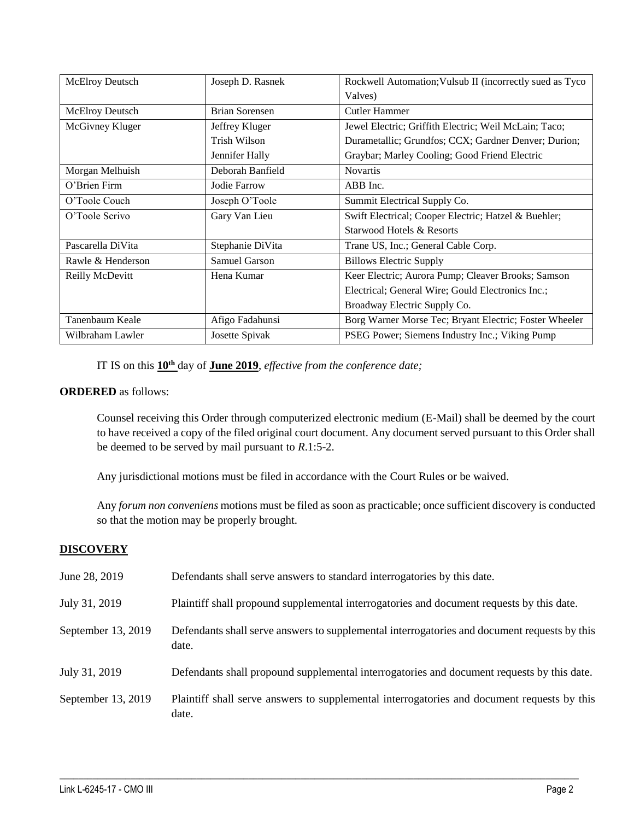| McElroy Deutsch        | Joseph D. Rasnek | Rockwell Automation; Vulsub II (incorrectly sued as Tyco |
|------------------------|------------------|----------------------------------------------------------|
|                        |                  | Valves)                                                  |
| <b>McElroy Deutsch</b> | Brian Sorensen   | Cutler Hammer                                            |
| McGivney Kluger        | Jeffrey Kluger   | Jewel Electric; Griffith Electric; Weil McLain; Taco;    |
|                        | Trish Wilson     | Durametallic; Grundfos; CCX; Gardner Denver; Durion;     |
|                        | Jennifer Hally   | Graybar; Marley Cooling; Good Friend Electric            |
| Morgan Melhuish        | Deborah Banfield | <b>Novartis</b>                                          |
| O'Brien Firm           | Jodie Farrow     | ABB Inc.                                                 |
| O'Toole Couch          | Joseph O'Toole   | Summit Electrical Supply Co.                             |
| O'Toole Scrivo         | Gary Van Lieu    | Swift Electrical; Cooper Electric; Hatzel & Buehler;     |
|                        |                  | Starwood Hotels & Resorts                                |
| Pascarella DiVita      | Stephanie DiVita | Trane US, Inc.; General Cable Corp.                      |
| Rawle & Henderson      | Samuel Garson    | <b>Billows Electric Supply</b>                           |
| Reilly McDevitt        | Hena Kumar       | Keer Electric; Aurora Pump; Cleaver Brooks; Samson       |
|                        |                  | Electrical; General Wire; Gould Electronics Inc.;        |
|                        |                  | Broadway Electric Supply Co.                             |
| Tanenbaum Keale        | Afigo Fadahunsi  | Borg Warner Morse Tec; Bryant Electric; Foster Wheeler   |
| Wilbraham Lawler       | Josette Spivak   | PSEG Power; Siemens Industry Inc.; Viking Pump           |

IT IS on this **10th** day of **June 2019**, *effective from the conference date;*

## **ORDERED** as follows:

Counsel receiving this Order through computerized electronic medium (E-Mail) shall be deemed by the court to have received a copy of the filed original court document. Any document served pursuant to this Order shall be deemed to be served by mail pursuant to *R*.1:5-2.

Any jurisdictional motions must be filed in accordance with the Court Rules or be waived.

Any *forum non conveniens* motions must be filed as soon as practicable; once sufficient discovery is conducted so that the motion may be properly brought.

## **DISCOVERY**

| June 28, 2019      | Defendants shall serve answers to standard interrogatories by this date.                              |
|--------------------|-------------------------------------------------------------------------------------------------------|
| July 31, 2019      | Plaintiff shall propound supplemental interrogatories and document requests by this date.             |
| September 13, 2019 | Defendants shall serve answers to supplemental interrogatories and document requests by this<br>date. |
| July 31, 2019      | Defendants shall propound supplemental interrogatories and document requests by this date.            |
| September 13, 2019 | Plaintiff shall serve answers to supplemental interrogatories and document requests by this<br>date.  |

 $\_$  , and the set of the set of the set of the set of the set of the set of the set of the set of the set of the set of the set of the set of the set of the set of the set of the set of the set of the set of the set of th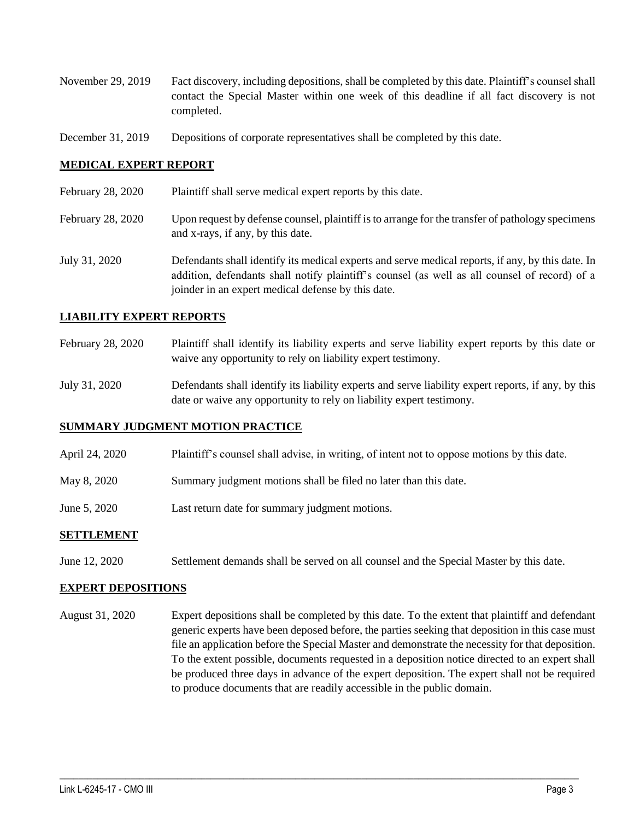- November 29, 2019 Fact discovery, including depositions, shall be completed by this date. Plaintiff's counsel shall contact the Special Master within one week of this deadline if all fact discovery is not completed.
- December 31, 2019 Depositions of corporate representatives shall be completed by this date.

### **MEDICAL EXPERT REPORT**

- February 28, 2020 Plaintiff shall serve medical expert reports by this date.
- February 28, 2020 Upon request by defense counsel, plaintiff is to arrange for the transfer of pathology specimens and x-rays, if any, by this date.
- July 31, 2020 Defendants shall identify its medical experts and serve medical reports, if any, by this date. In addition, defendants shall notify plaintiff's counsel (as well as all counsel of record) of a joinder in an expert medical defense by this date.

#### **LIABILITY EXPERT REPORTS**

- February 28, 2020 Plaintiff shall identify its liability experts and serve liability expert reports by this date or waive any opportunity to rely on liability expert testimony.
- July 31, 2020 Defendants shall identify its liability experts and serve liability expert reports, if any, by this date or waive any opportunity to rely on liability expert testimony.

#### **SUMMARY JUDGMENT MOTION PRACTICE**

- April 24, 2020 Plaintiff's counsel shall advise, in writing, of intent not to oppose motions by this date.
- May 8, 2020 Summary judgment motions shall be filed no later than this date.
- June 5, 2020 Last return date for summary judgment motions.

#### **SETTLEMENT**

June 12, 2020 Settlement demands shall be served on all counsel and the Special Master by this date.

#### **EXPERT DEPOSITIONS**

August 31, 2020 Expert depositions shall be completed by this date. To the extent that plaintiff and defendant generic experts have been deposed before, the parties seeking that deposition in this case must file an application before the Special Master and demonstrate the necessity for that deposition. To the extent possible, documents requested in a deposition notice directed to an expert shall be produced three days in advance of the expert deposition. The expert shall not be required to produce documents that are readily accessible in the public domain.

 $\_$  , and the set of the set of the set of the set of the set of the set of the set of the set of the set of the set of the set of the set of the set of the set of the set of the set of the set of the set of the set of th